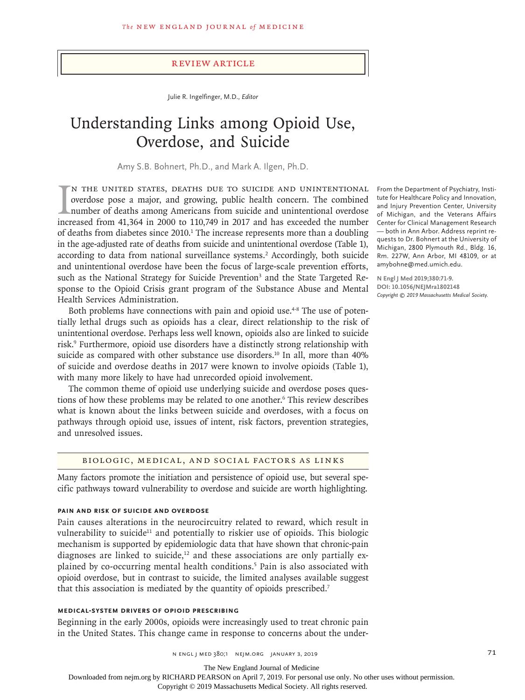#### Review Article

Julie R. Ingelfinger, M.D., *Editor*

# Understanding Links among Opioid Use, Overdose, and Suicide

Amy S.B. Bohnert, Ph.D., and Mark A. Ilgen, Ph.D.

IN THE UNITED STATES, DEATHS DUE TO SUICIDE AND UNINTENTIONAL overdose pose a major, and growing, public health concern. The combined number of deaths among Americans from suicide and unintentional overdose increased from n the United States, deaths due to suicide and unintentional overdose pose a major, and growing, public health concern. The combined number of deaths among Americans from suicide and unintentional overdose of deaths from diabetes since 2010.<sup>1</sup> The increase represents more than a doubling in the age-adjusted rate of deaths from suicide and unintentional overdose (Table 1), according to data from national surveillance systems.<sup>2</sup> Accordingly, both suicide and unintentional overdose have been the focus of large-scale prevention efforts, such as the National Strategy for Suicide Prevention<sup>3</sup> and the State Targeted Response to the Opioid Crisis grant program of the Substance Abuse and Mental Health Services Administration.

Both problems have connections with pain and opioid use.<sup>4-8</sup> The use of potentially lethal drugs such as opioids has a clear, direct relationship to the risk of unintentional overdose. Perhaps less well known, opioids also are linked to suicide risk.9 Furthermore, opioid use disorders have a distinctly strong relationship with suicide as compared with other substance use disorders.<sup>10</sup> In all, more than 40% of suicide and overdose deaths in 2017 were known to involve opioids (Table 1), with many more likely to have had unrecorded opioid involvement.

The common theme of opioid use underlying suicide and overdose poses questions of how these problems may be related to one another.<sup>6</sup> This review describes what is known about the links between suicide and overdoses, with a focus on pathways through opioid use, issues of intent, risk factors, prevention strategies, and unresolved issues.

# Biologic, Medical, and Social Factors as Links

Many factors promote the initiation and persistence of opioid use, but several specific pathways toward vulnerability to overdose and suicide are worth highlighting.

#### **Pain and Risk of Suicide and Overdose**

Pain causes alterations in the neurocircuitry related to reward, which result in vulnerability to suicide<sup>11</sup> and potentially to riskier use of opioids. This biologic mechanism is supported by epidemiologic data that have shown that chronic-pain diagnoses are linked to suicide,<sup>12</sup> and these associations are only partially explained by co-occurring mental health conditions.5 Pain is also associated with opioid overdose, but in contrast to suicide, the limited analyses available suggest that this association is mediated by the quantity of opioids prescribed.7

### **Medical-System Drivers of Opioid Prescribing**

Beginning in the early 2000s, opioids were increasingly used to treat chronic pain in the United States. This change came in response to concerns about the under-

n engl j med 380;1 nejm.org January 3, 2019 71

From the Department of Psychiatry, Institute for Healthcare Policy and Innovation, and Injury Prevention Center, University of Michigan, and the Veterans Affairs Center for Clinical Management Research — both in Ann Arbor. Address reprint requests to Dr. Bohnert at the University of Michigan, 2800 Plymouth Rd., Bldg. 16, Rm. 227W, Ann Arbor, MI 48109, or at amybohne@med.umich.edu.

**N Engl J Med 2019;380:71-9. DOI: 10.1056/NEJMra1802148** *Copyright © 2019 Massachusetts Medical Society.*

Downloaded from nejm.org by RICHARD PEARSON on April 7, 2019. For personal use only. No other uses without permission.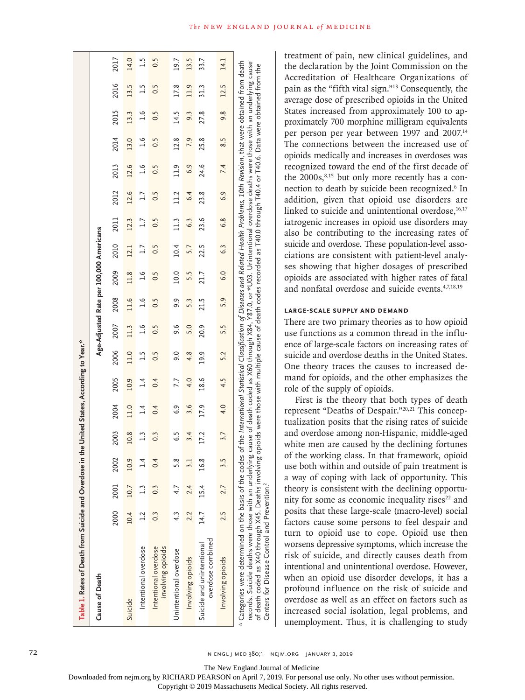|                                                                                                          |                                         | 2017 | 14.0    | $\frac{1}{1}$        | $\frac{5}{2}$                             | 19.7                   | 13.5              | 33.7                                           | 14.1              |                                                                                                                                                                                                                                                                                                                                                                                  |
|----------------------------------------------------------------------------------------------------------|-----------------------------------------|------|---------|----------------------|-------------------------------------------|------------------------|-------------------|------------------------------------------------|-------------------|----------------------------------------------------------------------------------------------------------------------------------------------------------------------------------------------------------------------------------------------------------------------------------------------------------------------------------------------------------------------------------|
|                                                                                                          |                                         | 2016 | 13.5    | 1.5                  | $\frac{5}{2}$                             | 17.8                   | 11.9              | 31.3                                           | 12.5              |                                                                                                                                                                                                                                                                                                                                                                                  |
| Table 1. Rates of Death from Suicide and Overdose in the United States, According to Year. <sup>27</sup> | Age-Adjusted Rate per 100,000 Americans | 2015 | 13.3    | $\frac{6}{1}$        | $\frac{5}{2}$                             | 14.5                   | 9.3               | 27.8                                           | 9.8               |                                                                                                                                                                                                                                                                                                                                                                                  |
|                                                                                                          |                                         | 2014 | 13.0    | $\frac{6}{1}$        | $\frac{5}{2}$                             | 12.8                   | 7.9               | 25.8                                           | 8.5               |                                                                                                                                                                                                                                                                                                                                                                                  |
|                                                                                                          |                                         | 2013 | 12.6    | $\frac{6}{1}$        | $\frac{5}{2}$                             | 11.9                   | 6.9               | 24.6                                           | 7.4               |                                                                                                                                                                                                                                                                                                                                                                                  |
|                                                                                                          |                                         | 2012 | 12.6    |                      | $\frac{5}{2}$                             | 112                    | 6.4               | 23.8                                           | 6.9               |                                                                                                                                                                                                                                                                                                                                                                                  |
|                                                                                                          |                                         | 2011 | 12.3    | 1.7                  | 0.5                                       | 11.3                   | 6.3               | 23.6                                           | 6.8               |                                                                                                                                                                                                                                                                                                                                                                                  |
|                                                                                                          |                                         | 2010 | 12.1    | $\overline{1}$ .     | $\frac{5}{2}$                             | 10.4                   |                   | 22.5                                           | 6.3               | * Categories were determined on the basis of the codes of the International Statistical Classification of Diseases and Related Health Problems, 10th Revision, that were obtained from death<br>records. Suicide deaths were those with an underlying cause of death coded as X60 through X84, Y87.0, or *U03. Unintentional overdose deaths were those with an underlying cause |
|                                                                                                          |                                         | 2009 | 11.8    | $\frac{6}{1}$        | $\frac{5}{2}$                             | 10.0                   |                   | 21.7                                           | 6.0               |                                                                                                                                                                                                                                                                                                                                                                                  |
|                                                                                                          |                                         | 2008 | 11.6    | <u>م ر</u>           | 0.5                                       | 9.9                    | 5.3               | 21.5                                           | 5.9               |                                                                                                                                                                                                                                                                                                                                                                                  |
|                                                                                                          |                                         | 2007 | 11.3    | $\frac{6}{1}$        | $\frac{5}{2}$                             | 9.6                    | 5.0               | 20.9                                           | 5.5               |                                                                                                                                                                                                                                                                                                                                                                                  |
|                                                                                                          |                                         | 2006 | 11.0    | $\frac{1}{1}$        | $\frac{5}{2}$                             | 0.6                    | 4.8               | 19.9                                           | 5.2               |                                                                                                                                                                                                                                                                                                                                                                                  |
|                                                                                                          |                                         | 2005 | 10.9    |                      | 0.4                                       | 7.7                    | 4.0               | 18.6                                           | 4.5               |                                                                                                                                                                                                                                                                                                                                                                                  |
|                                                                                                          |                                         | 2004 | 11.0    | 1.4                  | 0.4                                       | 6.9                    | 3.6               | 17.9                                           | 4.0               |                                                                                                                                                                                                                                                                                                                                                                                  |
|                                                                                                          |                                         | 2003 | 10.8    | $\frac{1}{3}$        | 0.3                                       | ى<br>ق                 | 3.4               | 17.2                                           | 3.7               |                                                                                                                                                                                                                                                                                                                                                                                  |
|                                                                                                          |                                         | 2002 | 10.9    |                      | 0.4                                       | 5.8                    | 3.1               | 16.8                                           | 3.5               |                                                                                                                                                                                                                                                                                                                                                                                  |
|                                                                                                          |                                         | 2001 | 10.7    |                      |                                           |                        | 2.4               | 15.4                                           | 2.7               |                                                                                                                                                                                                                                                                                                                                                                                  |
|                                                                                                          |                                         | 2000 | 10.4    |                      | $\overline{0}$                            |                        | 2.2               | 14.7                                           | 2.5               |                                                                                                                                                                                                                                                                                                                                                                                  |
|                                                                                                          | Cause of Death                          |      | Suicide | Intentional overdose | Intentional overdose<br>involving opioids | Unintentional overdose | Involving opioids | overdose combined<br>Suicide and unintentional | Involving opioids |                                                                                                                                                                                                                                                                                                                                                                                  |

records. Suicide deaths were those with an underlying cause of death coded as X60 through X84, Y87.0, or \*U03. Unintentional overdose deaths were those with an underlying cause וכטיום... שהוא בעבר את היי היי היי של השופח של היי של היי של היי של היי של היי של היי של היי של היי של היי של ה<br>of death coded as X40 through X45. Deaths involving opioids were those with multiple cause of death codes rec of death coded as X40 through X45. Deaths involving opioids were those with multiple cause of death codes recorded as T40.0 through T40.4 or T40.6. Data were obtained from the Centers for Disease Control and Prevention.2

treatment of pain, new clinical guidelines, and the declaration by the Joint Commission on the Accreditation of Healthcare Organizations of pain as the "fifth vital sign."13 Consequently, the average dose of prescribed opioids in the United States increased from approximately 100 to ap proximately 700 morphine milligram equivalents per person per year between 1997 and 2007.<sup>14</sup> The connections between the increased use of opioids medically and increases in overdoses was recognized toward the end of the first decade of the  $2000s$ ,  $8,15$  but only more recently has a connection to death by suicide been recognized. 6 In addition, given that opioid use disorders are linked to suicide and unintentional overdose, $16,17$ iatrogenic increases in opioid use disorders may also be contributing to the increasing rates of suicide and overdose. These population-level asso ciations are consistent with patient-level analy ses showing that higher dosages of prescribed opioids are associated with higher rates of fatal and nonfatal overdose and suicide events.<sup>4,7,18,19</sup>

# **Large-Scale Supply and Demand**

There are two primary theories as to how opioid use functions as a common thread in the influ ence of large-scale factors on increasing rates of suicide and overdose deaths in the United States. One theory traces the causes to increased de mand for opioids, and the other emphasizes the role of the supply of opioids.

First is the theory that both types of death represent "Deaths of Despair."<sup>20,21</sup> This conceptualization posits that the rising rates of suicide and overdose among non-Hispanic, middle-aged white men are caused by the declining fortunes of the working class. In that framework, opioid use both within and outside of pain treatment is a way of coping with lack of opportunity. This theory is consistent with the declining opportu nity for some as economic inequality rises<sup>22</sup> and posits that these large-scale (macro-level) social factors cause some persons to feel despair and turn to opioid use to cope. Opioid use then worsens depressive symptoms, which increase the risk of suicide, and directly causes death from intentional and unintentional overdose. However, when an opioid use disorder develops, it has a profound influence on the risk of suicide and overdose as well as an effect on factors such as increased social isolation, legal problems, and unemployment. Thus, it is challenging to study

72 **N ENGL J MED 380;1 NEJM.ORG JANUARY 3, 2019** 

The New England Journal of Medicine

Downloaded from nejm.org by RICHARD PEARSON on April 7, 2019. For personal use only. No other uses without permission.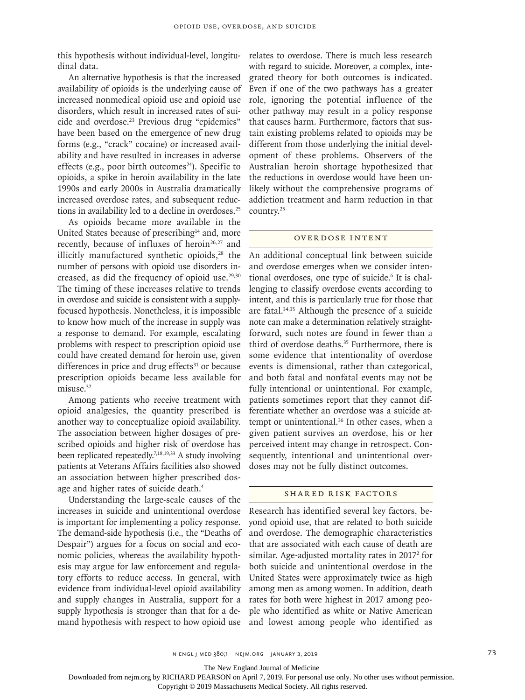this hypothesis without individual-level, longitudinal data.

An alternative hypothesis is that the increased availability of opioids is the underlying cause of increased nonmedical opioid use and opioid use disorders, which result in increased rates of suicide and overdose.<sup>23</sup> Previous drug "epidemics" have been based on the emergence of new drug forms (e.g., "crack" cocaine) or increased availability and have resulted in increases in adverse effects (e.g., poor birth outcomes $24$ ). Specific to opioids, a spike in heroin availability in the late 1990s and early 2000s in Australia dramatically increased overdose rates, and subsequent reductions in availability led to a decline in overdoses.<sup>25</sup>

As opioids became more available in the United States because of prescribing<sup>14</sup> and, more recently, because of influxes of heroin $26,27$  and illicitly manufactured synthetic opioids, $28$  the number of persons with opioid use disorders increased, as did the frequency of opioid use. $29,30$ The timing of these increases relative to trends in overdose and suicide is consistent with a supplyfocused hypothesis. Nonetheless, it is impossible to know how much of the increase in supply was a response to demand. For example, escalating problems with respect to prescription opioid use could have created demand for heroin use, given differences in price and drug effects<sup>31</sup> or because prescription opioids became less available for misuse.<sup>32</sup>

Among patients who receive treatment with opioid analgesics, the quantity prescribed is another way to conceptualize opioid availability. The association between higher dosages of prescribed opioids and higher risk of overdose has been replicated repeatedly.<sup>7,18,19,33</sup> A study involving patients at Veterans Affairs facilities also showed an association between higher prescribed dosage and higher rates of suicide death.4

Understanding the large-scale causes of the increases in suicide and unintentional overdose is important for implementing a policy response. The demand-side hypothesis (i.e., the "Deaths of Despair") argues for a focus on social and economic policies, whereas the availability hypothesis may argue for law enforcement and regulatory efforts to reduce access. In general, with evidence from individual-level opioid availability and supply changes in Australia, support for a supply hypothesis is stronger than that for a demand hypothesis with respect to how opioid use relates to overdose. There is much less research with regard to suicide. Moreover, a complex, integrated theory for both outcomes is indicated. Even if one of the two pathways has a greater role, ignoring the potential influence of the other pathway may result in a policy response that causes harm. Furthermore, factors that sustain existing problems related to opioids may be different from those underlying the initial development of these problems. Observers of the Australian heroin shortage hypothesized that the reductions in overdose would have been unlikely without the comprehensive programs of addiction treatment and harm reduction in that country.25

## Overdose Intent

An additional conceptual link between suicide and overdose emerges when we consider intentional overdoses, one type of suicide.<sup>6</sup> It is challenging to classify overdose events according to intent, and this is particularly true for those that are fatal.34,35 Although the presence of a suicide note can make a determination relatively straightforward, such notes are found in fewer than a third of overdose deaths.<sup>35</sup> Furthermore, there is some evidence that intentionality of overdose events is dimensional, rather than categorical, and both fatal and nonfatal events may not be fully intentional or unintentional. For example, patients sometimes report that they cannot differentiate whether an overdose was a suicide attempt or unintentional.<sup>36</sup> In other cases, when a given patient survives an overdose, his or her perceived intent may change in retrospect. Consequently, intentional and unintentional overdoses may not be fully distinct outcomes.

#### SHARED RISK FACTORS

Research has identified several key factors, beyond opioid use, that are related to both suicide and overdose. The demographic characteristics that are associated with each cause of death are similar. Age-adjusted mortality rates in 2017<sup>2</sup> for both suicide and unintentional overdose in the United States were approximately twice as high among men as among women. In addition, death rates for both were highest in 2017 among people who identified as white or Native American and lowest among people who identified as

The New England Journal of Medicine

Downloaded from nejm.org by RICHARD PEARSON on April 7, 2019. For personal use only. No other uses without permission.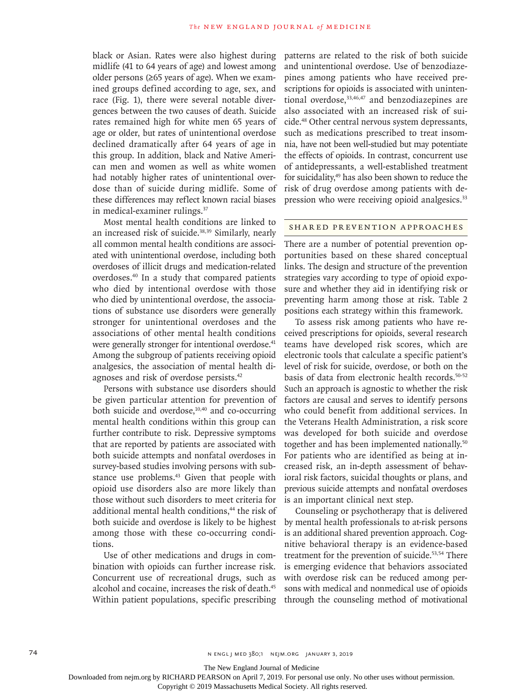black or Asian. Rates were also highest during midlife (41 to 64 years of age) and lowest among older persons (≥65 years of age). When we examined groups defined according to age, sex, and race (Fig. 1), there were several notable divergences between the two causes of death. Suicide rates remained high for white men 65 years of age or older, but rates of unintentional overdose declined dramatically after 64 years of age in this group. In addition, black and Native American men and women as well as white women had notably higher rates of unintentional overdose than of suicide during midlife. Some of these differences may reflect known racial biases in medical-examiner rulings.37

Most mental health conditions are linked to an increased risk of suicide.38,39 Similarly, nearly all common mental health conditions are associated with unintentional overdose, including both overdoses of illicit drugs and medication-related overdoses.40 In a study that compared patients who died by intentional overdose with those who died by unintentional overdose, the associations of substance use disorders were generally stronger for unintentional overdoses and the associations of other mental health conditions were generally stronger for intentional overdose.<sup>41</sup> Among the subgroup of patients receiving opioid analgesics, the association of mental health diagnoses and risk of overdose persists.42

Persons with substance use disorders should be given particular attention for prevention of both suicide and overdose, $10,40$  and co-occurring mental health conditions within this group can further contribute to risk. Depressive symptoms that are reported by patients are associated with both suicide attempts and nonfatal overdoses in survey-based studies involving persons with substance use problems.<sup>43</sup> Given that people with opioid use disorders also are more likely than those without such disorders to meet criteria for additional mental health conditions,<sup>44</sup> the risk of both suicide and overdose is likely to be highest among those with these co-occurring conditions.

Use of other medications and drugs in combination with opioids can further increase risk. Concurrent use of recreational drugs, such as alcohol and cocaine, increases the risk of death.<sup>45</sup> Within patient populations, specific prescribing patterns are related to the risk of both suicide and unintentional overdose. Use of benzodiazepines among patients who have received prescriptions for opioids is associated with unintentional overdose,  $33,46,47$  and benzodiazepines are also associated with an increased risk of suicide.48 Other central nervous system depressants, such as medications prescribed to treat insomnia, have not been well-studied but may potentiate the effects of opioids. In contrast, concurrent use of antidepressants, a well-established treatment for suicidality,49 has also been shown to reduce the risk of drug overdose among patients with depression who were receiving opioid analgesics.<sup>33</sup>

### Shared Prevention Approaches

There are a number of potential prevention opportunities based on these shared conceptual links. The design and structure of the prevention strategies vary according to type of opioid exposure and whether they aid in identifying risk or preventing harm among those at risk. Table 2 positions each strategy within this framework.

To assess risk among patients who have received prescriptions for opioids, several research teams have developed risk scores, which are electronic tools that calculate a specific patient's level of risk for suicide, overdose, or both on the basis of data from electronic health records.<sup>50-52</sup> Such an approach is agnostic to whether the risk factors are causal and serves to identify persons who could benefit from additional services. In the Veterans Health Administration, a risk score was developed for both suicide and overdose together and has been implemented nationally.<sup>50</sup> For patients who are identified as being at increased risk, an in-depth assessment of behavioral risk factors, suicidal thoughts or plans, and previous suicide attempts and nonfatal overdoses is an important clinical next step.

Counseling or psychotherapy that is delivered by mental health professionals to at-risk persons is an additional shared prevention approach. Cognitive behavioral therapy is an evidence-based treatment for the prevention of suicide.<sup>53,54</sup> There is emerging evidence that behaviors associated with overdose risk can be reduced among persons with medical and nonmedical use of opioids through the counseling method of motivational

The New England Journal of Medicine

Downloaded from nejm.org by RICHARD PEARSON on April 7, 2019. For personal use only. No other uses without permission.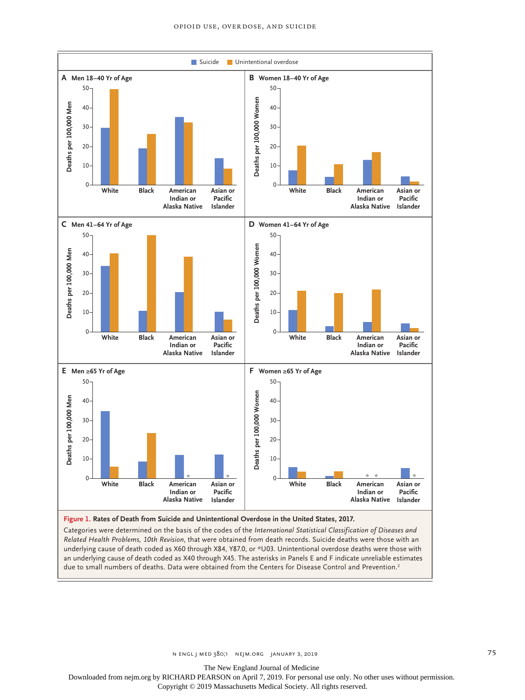

Categories were determined on the basis of the codes of the *International Statistical Classification of Diseases and Related Health Problems, 10th Revision*, that were obtained from death records. Suicide deaths were those with an underlying cause of death coded as X60 through X84, Y87.0, or \*U03. Unintentional overdose deaths were those with an underlying cause of death coded as X40 through X45. The asterisks in Panels E and F indicate unreliable estimates due to small numbers of deaths. Data were obtained from the Centers for Disease Control and Prevention.<sup>2</sup>

n engl j med 380;1 nejm.org January 3, 2019 75

The New England Journal of Medicine

Downloaded from nejm.org by RICHARD PEARSON on April 7, 2019. For personal use only. No other uses without permission.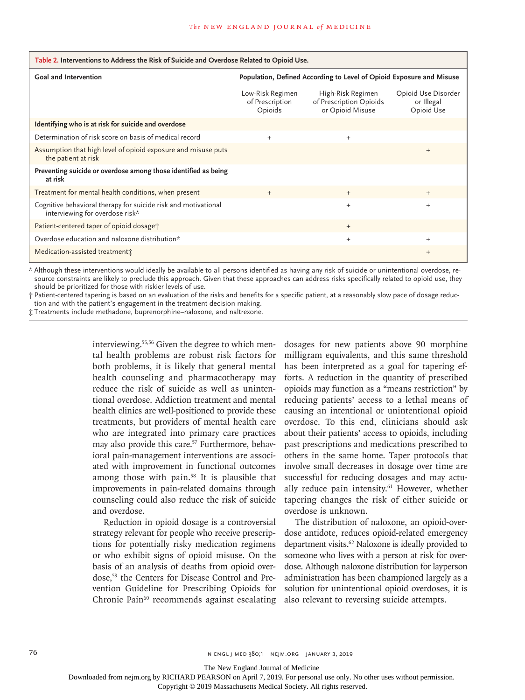| Table 2. Interventions to Address the Risk of Suicide and Overdose Related to Opioid Use.         |                                                                      |                                                                  |                                                 |  |  |  |  |  |  |
|---------------------------------------------------------------------------------------------------|----------------------------------------------------------------------|------------------------------------------------------------------|-------------------------------------------------|--|--|--|--|--|--|
| Goal and Intervention                                                                             | Population, Defined According to Level of Opioid Exposure and Misuse |                                                                  |                                                 |  |  |  |  |  |  |
|                                                                                                   | Low-Risk Regimen<br>of Prescription<br>Opioids                       | High-Risk Regimen<br>of Prescription Opioids<br>or Opioid Misuse | Opioid Use Disorder<br>or Illegal<br>Opioid Use |  |  |  |  |  |  |
| Identifying who is at risk for suicide and overdose                                               |                                                                      |                                                                  |                                                 |  |  |  |  |  |  |
| Determination of risk score on basis of medical record                                            | $^{+}$                                                               | $+$                                                              |                                                 |  |  |  |  |  |  |
| Assumption that high level of opioid exposure and misuse puts<br>the patient at risk              |                                                                      |                                                                  | $^{+}$                                          |  |  |  |  |  |  |
| Preventing suicide or overdose among those identified as being<br>at risk                         |                                                                      |                                                                  |                                                 |  |  |  |  |  |  |
| Treatment for mental health conditions, when present                                              | $^{+}$                                                               | $^{+}$                                                           | $^{+}$                                          |  |  |  |  |  |  |
| Cognitive behavioral therapy for suicide risk and motivational<br>interviewing for overdose risk* |                                                                      | $^{+}$                                                           | $^{+}$                                          |  |  |  |  |  |  |
| Patient-centered taper of opioid dosage†                                                          |                                                                      | $^{+}$                                                           |                                                 |  |  |  |  |  |  |
| Overdose education and naloxone distribution*                                                     |                                                                      | $^{+}$                                                           | $^{+}$                                          |  |  |  |  |  |  |
| Medication-assisted treatment:                                                                    |                                                                      |                                                                  | $^{+}$                                          |  |  |  |  |  |  |

\* Although these interventions would ideally be available to all persons identified as having any risk of suicide or unintentional overdose, resource constraints are likely to preclude this approach. Given that these approaches can address risks specifically related to opioid use, they should be prioritized for those with riskier levels of use.

† Patient-centered tapering is based on an evaluation of the risks and benefits for a specific patient, at a reasonably slow pace of dosage reduction and with the patient's engagement in the treatment decision making.

‡ Treatments include methadone, buprenorphine–naloxone, and naltrexone.

interviewing.<sup>55,56</sup> Given the degree to which mental health problems are robust risk factors for both problems, it is likely that general mental health counseling and pharmacotherapy may reduce the risk of suicide as well as unintentional overdose. Addiction treatment and mental health clinics are well-positioned to provide these treatments, but providers of mental health care who are integrated into primary care practices may also provide this care.<sup>57</sup> Furthermore, behavioral pain-management interventions are associated with improvement in functional outcomes among those with pain.58 It is plausible that improvements in pain-related domains through counseling could also reduce the risk of suicide and overdose.

Reduction in opioid dosage is a controversial strategy relevant for people who receive prescriptions for potentially risky medication regimens or who exhibit signs of opioid misuse. On the basis of an analysis of deaths from opioid overdose,59 the Centers for Disease Control and Prevention Guideline for Prescribing Opioids for Chronic Pain<sup>60</sup> recommends against escalating dosages for new patients above 90 morphine milligram equivalents, and this same threshold has been interpreted as a goal for tapering efforts. A reduction in the quantity of prescribed opioids may function as a "means restriction" by reducing patients' access to a lethal means of causing an intentional or unintentional opioid overdose. To this end, clinicians should ask about their patients' access to opioids, including past prescriptions and medications prescribed to others in the same home. Taper protocols that involve small decreases in dosage over time are successful for reducing dosages and may actually reduce pain intensity.<sup>61</sup> However, whether tapering changes the risk of either suicide or overdose is unknown.

The distribution of naloxone, an opioid-overdose antidote, reduces opioid-related emergency department visits.62 Naloxone is ideally provided to someone who lives with a person at risk for overdose. Although naloxone distribution for layperson administration has been championed largely as a solution for unintentional opioid overdoses, it is also relevant to reversing suicide attempts.

76 n engl j med 380;1 nejm.org January 3, 2019

The New England Journal of Medicine

Downloaded from nejm.org by RICHARD PEARSON on April 7, 2019. For personal use only. No other uses without permission.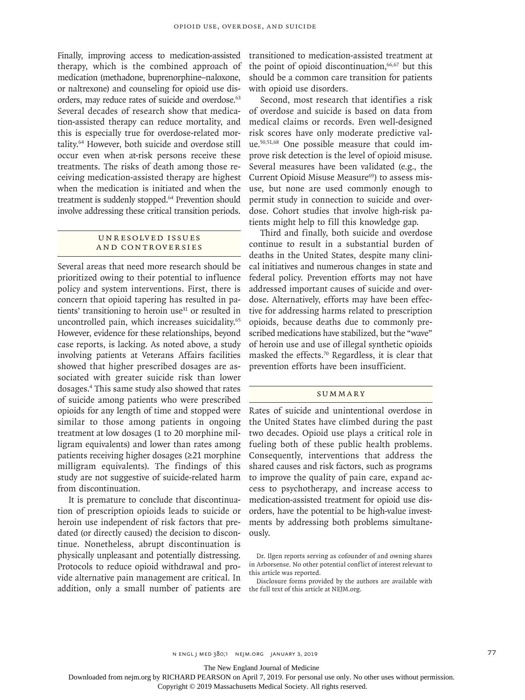Finally, improving access to medication-assisted therapy, which is the combined approach of medication (methadone, buprenorphine–naloxone, or naltrexone) and counseling for opioid use disorders, may reduce rates of suicide and overdose.<sup>63</sup> Several decades of research show that medication-assisted therapy can reduce mortality, and this is especially true for overdose-related mortality.64 However, both suicide and overdose still occur even when at-risk persons receive these treatments. The risks of death among those receiving medication-assisted therapy are highest when the medication is initiated and when the treatment is suddenly stopped.<sup>64</sup> Prevention should involve addressing these critical transition periods.

## Unr esolv ed Issues and Controversies

Several areas that need more research should be prioritized owing to their potential to influence policy and system interventions. First, there is concern that opioid tapering has resulted in patients' transitioning to heroin use $31$  or resulted in uncontrolled pain, which increases suicidality.<sup>65</sup> However, evidence for these relationships, beyond case reports, is lacking. As noted above, a study involving patients at Veterans Affairs facilities showed that higher prescribed dosages are associated with greater suicide risk than lower dosages.4 This same study also showed that rates of suicide among patients who were prescribed opioids for any length of time and stopped were similar to those among patients in ongoing treatment at low dosages (1 to 20 morphine milligram equivalents) and lower than rates among patients receiving higher dosages (≥21 morphine milligram equivalents). The findings of this study are not suggestive of suicide-related harm from discontinuation.

It is premature to conclude that discontinuation of prescription opioids leads to suicide or heroin use independent of risk factors that predated (or directly caused) the decision to discontinue. Nonetheless, abrupt discontinuation is physically unpleasant and potentially distressing. Protocols to reduce opioid withdrawal and provide alternative pain management are critical. In addition, only a small number of patients are the full text of this article at NEJM.org.

transitioned to medication-assisted treatment at the point of opioid discontinuation, $66,67$  but this should be a common care transition for patients with opioid use disorders.

Second, most research that identifies a risk of overdose and suicide is based on data from medical claims or records. Even well-designed risk scores have only moderate predictive value.50,51,68 One possible measure that could improve risk detection is the level of opioid misuse. Several measures have been validated (e.g., the Current Opioid Misuse Measure<sup>69</sup>) to assess misuse, but none are used commonly enough to permit study in connection to suicide and overdose. Cohort studies that involve high-risk patients might help to fill this knowledge gap.

Third and finally, both suicide and overdose continue to result in a substantial burden of deaths in the United States, despite many clinical initiatives and numerous changes in state and federal policy. Prevention efforts may not have addressed important causes of suicide and overdose. Alternatively, efforts may have been effective for addressing harms related to prescription opioids, because deaths due to commonly prescribed medications have stabilized, but the "wave" of heroin use and use of illegal synthetic opioids masked the effects.70 Regardless, it is clear that prevention efforts have been insufficient.

# **SUMMARY**

Rates of suicide and unintentional overdose in the United States have climbed during the past two decades. Opioid use plays a critical role in fueling both of these public health problems. Consequently, interventions that address the shared causes and risk factors, such as programs to improve the quality of pain care, expand access to psychotherapy, and increase access to medication-assisted treatment for opioid use disorders, have the potential to be high-value investments by addressing both problems simultaneously.

Disclosure forms provided by the authors are available with

The New England Journal of Medicine

Downloaded from nejm.org by RICHARD PEARSON on April 7, 2019. For personal use only. No other uses without permission.

Dr. Ilgen reports serving as cofounder of and owning shares in Arborsense. No other potential conflict of interest relevant to this article was reported.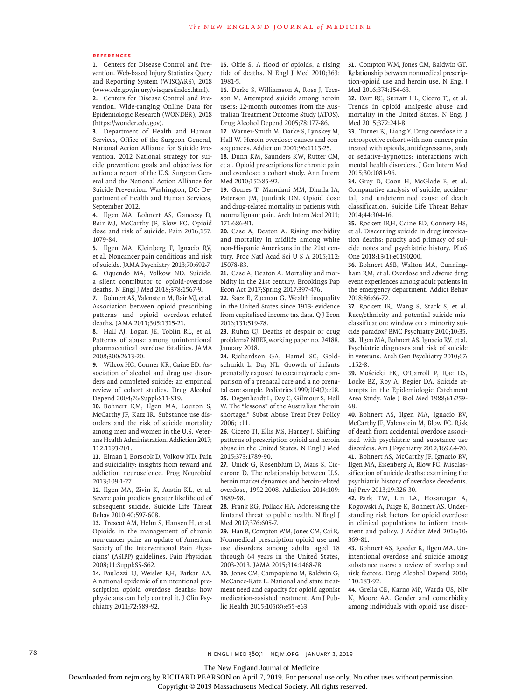#### **References**

**1.** Centers for Disease Control and Prevention. Web-based Injury Statistics Query and Reporting System (WISQARS), 2018 (www.cdc.gov/injury/wisqars/index.html).

**2.** Centers for Disease Control and Prevention. Wide-ranging Online Data for Epidemiologic Research (WONDER), 2018 (https://wonder.cdc.gov).

**3.** Department of Health and Human Services, Office of the Surgeon General, National Action Alliance for Suicide Prevention. 2012 National strategy for suicide prevention: goals and objectives for action: a report of the U.S. Surgeon General and the National Action Alliance for Suicide Prevention. Washington, DC: Department of Health and Human Services, September 2012.

**4.** Ilgen MA, Bohnert AS, Ganoczy D, Bair MJ, McCarthy JF, Blow FC. Opioid dose and risk of suicide. Pain 2016;157: 1079-84.

**5.** Ilgen MA, Kleinberg F, Ignacio RV, et al. Noncancer pain conditions and risk of suicide. JAMA Psychiatry 2013;70:692-7. **6.** Oquendo MA, Volkow ND. Suicide:

a silent contributor to opioid-overdose deaths. N Engl J Med 2018;378:1567-9. **7.** Bohnert AS, Valenstein M, Bair MJ, et al.

Association between opioid prescribing patterns and opioid overdose-related deaths. JAMA 2011;305:1315-21.

**8.** Hall AJ, Logan JE, Toblin RL, et al. Patterns of abuse among unintentional pharmaceutical overdose fatalities. JAMA 2008;300:2613-20.

**9.** Wilcox HC, Conner KR, Caine ED. Association of alcohol and drug use disorders and completed suicide: an empirical review of cohort studies. Drug Alcohol Depend 2004;76:Suppl:S11-S19.

**10.** Bohnert KM, Ilgen MA, Louzon S, McCarthy JF, Katz IR. Substance use disorders and the risk of suicide mortality among men and women in the U.S. Veterans Health Administration. Addiction 2017; 112:1193-201.

**11.** Elman I, Borsook D, Volkow ND. Pain and suicidality: insights from reward and addiction neuroscience. Prog Neurobiol 2013;109:1-27.

**12.** Ilgen MA, Zivin K, Austin KL, et al. Severe pain predicts greater likelihood of subsequent suicide. Suicide Life Threat Behav 2010;40:597-608.

**13.** Trescot AM, Helm S, Hansen H, et al. Opioids in the management of chronic non-cancer pain: an update of American Society of the Interventional Pain Physicians' (ASIPP) guidelines. Pain Physician 2008;11:Suppl:S5-S62.

**14.** Paulozzi LJ, Weisler RH, Patkar AA. A national epidemic of unintentional prescription opioid overdose deaths: how physicians can help control it. J Clin Psychiatry 2011;72:589-92.

**15.** Okie S. A flood of opioids, a rising tide of deaths. N Engl J Med 2010;363: 1981-5.

**16.** Darke S, Williamson A, Ross J, Teesson M. Attempted suicide among heroin users: 12-month outcomes from the Australian Treatment Outcome Study (ATOS). Drug Alcohol Depend 2005;78:177-86.

**17.** Warner-Smith M, Darke S, Lynskey M, Hall W. Heroin overdose: causes and consequences. Addiction 2001;96:1113-25.

**18.** Dunn KM, Saunders KW, Rutter CM, et al. Opioid prescriptions for chronic pain and overdose: a cohort study. Ann Intern Med 2010;152:85-92.

**19.** Gomes T, Mamdani MM, Dhalla IA, Paterson JM, Juurlink DN. Opioid dose and drug-related mortality in patients with nonmalignant pain. Arch Intern Med 2011; 171:686-91.

**20.** Case A, Deaton A. Rising morbidity and mortality in midlife among white non-Hispanic Americans in the 21st century. Proc Natl Acad Sci U S A 2015;112: 15078-83.

**21.** Case A, Deaton A. Mortality and morbidity in the 21st century. Brookings Pap Econ Act 2017;Spring 2017:397-476.

**22.** Saez E, Zucman G. Wealth inequality in the United States since 1913: evidence from capitalized income tax data. Q J Econ 2016;131:519-78.

**23.** Ruhm CJ. Deaths of despair or drug problems? NBER working paper no. 24188, January 2018.

**24.** Richardson GA, Hamel SC, Goldschmidt L, Day NL. Growth of infants prenatally exposed to cocaine/crack: comparison of a prenatal care and a no prenatal care sample. Pediatrics 1999;104(2):e18. **25.** Degenhardt L, Day C, Gilmour S, Hall W. The "lessons" of the Australian "heroin shortage." Subst Abuse Treat Prev Policy 2006;1:11.

**26.** Cicero TJ, Ellis MS, Harney J. Shifting patterns of prescription opioid and heroin abuse in the United States. N Engl J Med 2015;373:1789-90.

**27.** Unick G, Rosenblum D, Mars S, Ciccarone D. The relationship between U.S. heroin market dynamics and heroin-related overdose, 1992-2008. Addiction 2014;109: 1889-98.

**28.** Frank RG, Pollack HA. Addressing the fentanyl threat to public health. N Engl J Med 2017;376:605-7.

**29.** Han B, Compton WM, Jones CM, Cai R. Nonmedical prescription opioid use and use disorders among adults aged 18 through 64 years in the United States, 2003-2013. JAMA 2015;314:1468-78.

**30.** Jones CM, Campopiano M, Baldwin G, McCance-Katz E. National and state treatment need and capacity for opioid agonist medication-assisted treatment. Am J Public Health 2015;105(8):e55-e63.

**31.** Compton WM, Jones CM, Baldwin GT. Relationship between nonmedical prescription-opioid use and heroin use. N Engl J Med 2016;374:154-63.

**32.** Dart RC, Surratt HL, Cicero TJ, et al. Trends in opioid analgesic abuse and mortality in the United States. N Engl J Med 2015;372:241-8.

**33.** Turner BJ, Liang Y. Drug overdose in a retrospective cohort with non-cancer pain treated with opioids, antidepressants, and/ or sedative-hypnotics: interactions with mental health disorders. J Gen Intern Med 2015;30:1081-96.

**34.** Gray D, Coon H, McGlade E, et al. Comparative analysis of suicide, accidental, and undetermined cause of death classification. Suicide Life Threat Behav 2014;44:304-16.

**35.** Rockett IRH, Caine ED, Connery HS, et al. Discerning suicide in drug intoxication deaths: paucity and primacy of suicide notes and psychiatric history. PLoS One 2018;13(1):e0190200.

**36.** Bohnert ASB, Walton MA, Cunningham RM, et al. Overdose and adverse drug event experiences among adult patients in the emergency department. Addict Behav 2018;86:66-72.

**37.** Rockett IR, Wang S, Stack S, et al. Race/ethnicity and potential suicide misclassification: window on a minority suicide paradox? BMC Psychiatry 2010;10:35. **38.** Ilgen MA, Bohnert AS, Ignacio RV, et al. Psychiatric diagnoses and risk of suicide in veterans. Arch Gen Psychiatry 2010;67: 1152-8.

**39.** Mościcki EK, O'Carroll P, Rae DS, Locke BZ, Roy A, Regier DA. Suicide attempts in the Epidemiologic Catchment Area Study. Yale J Biol Med 1988;61:259- 68.

**40.** Bohnert AS, Ilgen MA, Ignacio RV, McCarthy JF, Valenstein M, Blow FC. Risk of death from accidental overdose associated with psychiatric and substance use disorders. Am J Psychiatry 2012;169:64-70. **41.** Bohnert AS, McCarthy JF, Ignacio RV, Ilgen MA, Eisenberg A, Blow FC. Misclassification of suicide deaths: examining the psychiatric history of overdose decedents. Inj Prev 2013;19:326-30.

**42.** Park TW, Lin LA, Hosanagar A, Kogowski A, Paige K, Bohnert AS. Understanding risk factors for opioid overdose in clinical populations to inform treatment and policy. J Addict Med 2016;10: 369-81.

**43.** Bohnert AS, Roeder K, Ilgen MA. Unintentional overdose and suicide among substance users: a review of overlap and risk factors. Drug Alcohol Depend 2010; 110:183-92.

**44.** Grella CE, Karno MP, Warda US, Niv N, Moore AA. Gender and comorbidity among individuals with opioid use disor-

78 n engl j med 380;1 nejm.org January 3, 2019

The New England Journal of Medicine

Downloaded from nejm.org by RICHARD PEARSON on April 7, 2019. For personal use only. No other uses without permission.